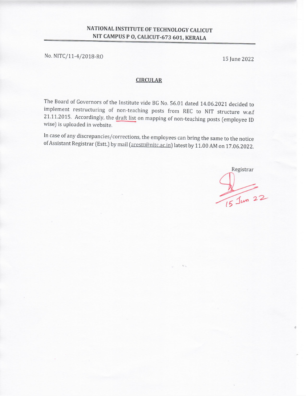No. NITC/11-4/2018-RO

15 June 2022

## **CIRCULAR**

The Board of Governors of the Institute vide BG No. 56.01 dated 14.06.2021 decided to implement restructuring of non-teaching posts from REC to NIT structure w.e.f 21.11.2015. Accordingly, the draft list on mapping of non-teaching posts (employee ID wise) is uploaded in website.

In case of any discrepancies/corrections, the employees can bring the same to the notice of Assistant Registrar (Estt.) by mail (arestt@nitc.ac.in) latest by 11.00 AM on 17.06.2022.

Registrar  $\frac{1}{15}$  Jun 22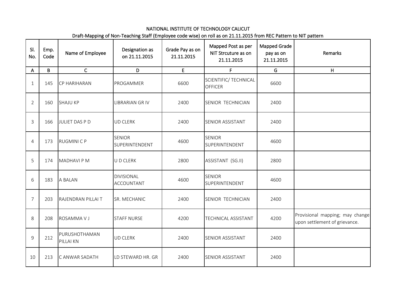| NATIONAL INSTITUTE OF TECHNOLOGY CALICUT                                                                          |
|-------------------------------------------------------------------------------------------------------------------|
| Draft-Mapping of Non-Teaching Staff (Employee code wise) on roll as on 21.11.2015 from REC Pattern to NIT pattern |

| SI.<br>No.     | Emp.<br>Code | Name of Employee           | Designation as<br>on 21.11.2015 | Grade Pay as on<br>21.11.2015 | Mapped Post as per<br>NIT Strcuture as on<br>21.11.2015 | <b>Mapped Grade</b><br>pay as on<br>21.11.2015 | Remarks                                                          |
|----------------|--------------|----------------------------|---------------------------------|-------------------------------|---------------------------------------------------------|------------------------------------------------|------------------------------------------------------------------|
| $\mathsf{A}$   | B            | $\mathsf C$                | D                               | E.                            | $\mathsf F$                                             | G                                              | H                                                                |
| $\mathbf{1}$   | 145          | CP HARIHARAN               | PROGAMMER                       | 6600                          | <b>SCIENTIFIC/ TECHNICAL</b><br><b>OFFICER</b>          | 6600                                           |                                                                  |
| 2              | 160          | <b>SHAJU KP</b>            | <b>LIBRARIAN GR IV</b>          | 2400                          | SENIOR TECHNICIAN                                       | 2400                                           |                                                                  |
| 3              | 166          | JULIET DAS P D             | <b>UD CLERK</b>                 | 2400                          | <b>SENIOR ASSISTANT</b>                                 | 2400                                           |                                                                  |
| $\overline{4}$ | 173          | <b>RUGMINICP</b>           | <b>SENIOR</b><br>SUPERINTENDENT | 4600                          | <b>SENIOR</b><br>SUPERINTENDENT                         | 4600                                           |                                                                  |
| 5              | 174          | <b>MADHAVI P M</b>         | U D CLERK                       | 2800                          | ASSISTANT (SG.II)                                       | 2800                                           |                                                                  |
| 6              | 183          | A BALAN                    | DIVISIONAL<br><b>ACCOUNTANT</b> | 4600                          | <b>SENIOR</b><br>SUPERINTENDENT                         | 4600                                           |                                                                  |
| $\overline{7}$ | 203          | RAJENDRAN PILLAI T         | SR. MECHANIC                    | 2400                          | SENIOR TECHNICIAN                                       | 2400                                           |                                                                  |
| 8              | 208          | ROSAMMA V J                | <b>STAFF NURSE</b>              | 4200                          | <b>TECHNICAL ASSISTANT</b>                              | 4200                                           | Provisional mapping; may change<br>upon settlement of grievance. |
| 9              | 212          | PURUSHOTHAMAN<br>PILLAI KN | <b>UD CLERK</b>                 | 2400                          | SENIOR ASSISTANT                                        | 2400                                           |                                                                  |
| 10             | 213          | C ANWAR SADATH             | LD STEWARD HR. GR               | 2400                          | SENIOR ASSISTANT                                        | 2400                                           |                                                                  |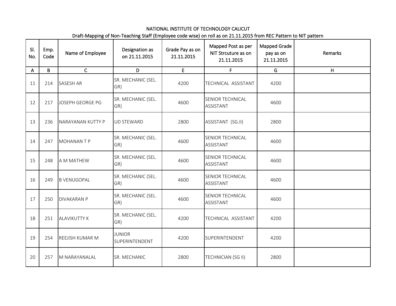| NATIONAL INSTITUTE OF TECHNOLOGY CALICUT                                                                          |
|-------------------------------------------------------------------------------------------------------------------|
| Draft-Mapping of Non-Teaching Staff (Employee code wise) on roll as on 21.11.2015 from REC Pattern to NIT pattern |

| SI.<br>No.                | Emp.<br>Code | Name of Employee    | Designation as<br>on 21.11.2015 | Grade Pay as on<br>21.11.2015 | Mapped Post as per<br>NIT Strcuture as on<br>21.11.2015 | Mapped Grade<br>pay as on<br>21.11.2015 | Remarks |
|---------------------------|--------------|---------------------|---------------------------------|-------------------------------|---------------------------------------------------------|-----------------------------------------|---------|
| $\boldsymbol{\mathsf{A}}$ | B            | $\mathsf C$         | D                               | E                             | F                                                       | G                                       | H       |
| 11                        | 214          | <b>SASESH AR</b>    | SR. MECHANIC (SEL.<br>GR)       | 4200                          | <b>TECHNICAL ASSISTANT</b>                              | 4200                                    |         |
| 12                        | 217          | JOSEPH GEORGE PG    | SR. MECHANIC (SEL.<br>GR)       | 4600                          | SENIOR TECHNICAL<br><b>ASSISTANT</b>                    | 4600                                    |         |
| 13                        | 236          | NARAYANAN KUTTY P   | <b>UD STEWARD</b>               | 2800                          | ASSISTANT (SG.II)                                       | 2800                                    |         |
| 14                        | 247          | MOHANAN T P         | SR. MECHANIC (SEL.<br>GR)       | 4600                          | <b>SENIOR TECHNICAL</b><br><b>ASSISTANT</b>             | 4600                                    |         |
| 15                        | 248          | A M MATHEW          | SR. MECHANIC (SEL.<br>GR)       | 4600                          | SENIOR TECHNICAL<br><b>ASSISTANT</b>                    | 4600                                    |         |
| 16                        | 249          | <b>B VENUGOPAL</b>  | SR. MECHANIC (SEL.<br>GR)       | 4600                          | SENIOR TECHNICAL<br><b>ASSISTANT</b>                    | 4600                                    |         |
| 17                        | 250          | <b>DIVAKARAN P</b>  | SR. MECHANIC (SEL.<br>GR)       | 4600                          | SENIOR TECHNICAL<br><b>ASSISTANT</b>                    | 4600                                    |         |
| 18                        | 251          | <b>ALAVIKUTTY K</b> | SR. MECHANIC (SEL.<br>GR)       | 4200                          | <b>TECHNICAL ASSISTANT</b>                              | 4200                                    |         |
| 19                        | 254          | REEJISH KUMAR M     | <b>JUNIOR</b><br>SUPERINTENDENT | 4200                          | SUPERINTENDENT                                          | 4200                                    |         |
| 20                        | 257          | M NARAYANALAL       | SR. MECHANIC                    | 2800                          | <b>TECHNICIAN (SG II)</b>                               | 2800                                    |         |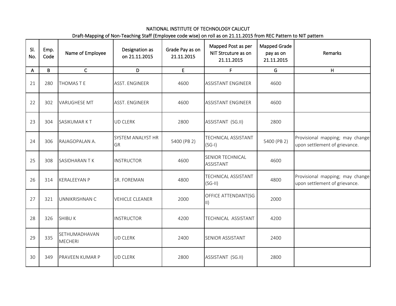| NATIONAL INSTITUTE OF TECHNOLOGY CALICUT                                                                          |
|-------------------------------------------------------------------------------------------------------------------|
| Draft-Mapping of Non-Teaching Staff (Employee code wise) on roll as on 21.11.2015 from REC Pattern to NIT pattern |

| SI.<br>No. | Emp.<br>Code | Name of Employee                | Designation as<br>on 21.11.2015 | Grade Pay as on<br>21.11.2015 | Mapped Post as per<br>NIT Strcuture as on<br>21.11.2015 | Mapped Grade<br>pay as on<br>21.11.2015 | Remarks                                                          |
|------------|--------------|---------------------------------|---------------------------------|-------------------------------|---------------------------------------------------------|-----------------------------------------|------------------------------------------------------------------|
| A          | B            | C                               | D                               | $\mathsf E$                   | F                                                       | G                                       | H                                                                |
| 21         | 280          | THOMAS T E                      | <b>ASST. ENGINEER</b>           | 4600                          | <b>ASSISTANT ENGINEER</b>                               | 4600                                    |                                                                  |
| 22         | 302          | <b>VARUGHESE MT</b>             | ASST. ENGINEER                  | 4600                          | <b>ASSISTANT ENGINEER</b>                               | 4600                                    |                                                                  |
| 23         | 304          | SASIKUMAR KT                    | <b>UD CLERK</b>                 | 2800                          | ASSISTANT (SG.II)                                       | 2800                                    |                                                                  |
| 24         | 306          | RAJAGOPALAN A.                  | SYSTEM ANALYST HR<br>GR         | 5400 (PB 2)                   | <b>TECHNICAL ASSISTANT</b><br>$(SG-I)$                  | 5400 (PB 2)                             | Provisional mapping; may change<br>upon settlement of grievance. |
| 25         | 308          | SASIDHARAN TK                   | <b>INSTRUCTOR</b>               | 4600                          | <b>SENIOR TECHNICAL</b><br><b>ASSISTANT</b>             | 4600                                    |                                                                  |
| 26         | 314          | <b>KERALEEYAN P</b>             | SR. FOREMAN                     | 4800                          | <b>TECHNICAL ASSISTANT</b><br>$(SG-H)$                  | 4800                                    | Provisional mapping; may change<br>upon settlement of grievance. |
| 27         | 321          | UNNIKRISHNAN C                  | <b>VEHICLE CLEANER</b>          | 2000                          | OFFICE ATTENDANT(SG<br>$\vert$ II)                      | 2000                                    |                                                                  |
| 28         | 326          | <b>SHIBU K</b>                  | <b>INSTRUCTOR</b>               | 4200                          | TECHNICAL ASSISTANT                                     | 4200                                    |                                                                  |
| 29         | 335          | SETHUMADHAVAN<br><b>MECHERI</b> | <b>UD CLERK</b>                 | 2400                          | <b>SENIOR ASSISTANT</b>                                 | 2400                                    |                                                                  |
| 30         | 349          | PRAVEEN KUMAR P                 | <b>UD CLERK</b>                 | 2800                          | ASSISTANT (SG.II)                                       | 2800                                    |                                                                  |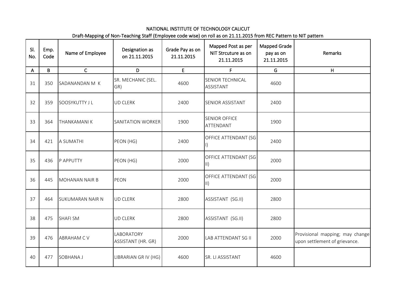| NATIONAL INSTITUTE OF TECHNOLOGY CALICUT                                                                          |
|-------------------------------------------------------------------------------------------------------------------|
| Draft-Mapping of Non-Teaching Staff (Employee code wise) on roll as on 21.11.2015 from REC Pattern to NIT pattern |

| SI.<br>No. | Emp.<br>Code | Name of Employee        | Designation as<br>on 21.11.2015         | Grade Pay as on<br>21.11.2015 | Mapped Post as per<br>NIT Strcuture as on<br>21.11.2015 | Mapped Grade<br>pay as on<br>21.11.2015 | Remarks                                                          |
|------------|--------------|-------------------------|-----------------------------------------|-------------------------------|---------------------------------------------------------|-----------------------------------------|------------------------------------------------------------------|
| A          | $\mathsf{B}$ | $\mathsf C$             | D                                       | $\mathsf E$                   | $\mathsf F$                                             | G                                       | H                                                                |
| 31         | 350          | SADANANDAN M K          | SR. MECHANIC (SEL.<br>GR)               | 4600                          | SENIOR TECHNICAL<br><b>ASSISTANT</b>                    | 4600                                    |                                                                  |
| 32         | 359          | SOOSYKUTTY J L          | <b>UD CLERK</b>                         | 2400                          | SENIOR ASSISTANT                                        | 2400                                    |                                                                  |
| 33         | 364          | THANKAMANI K            | <b>SANITATION WORKER</b>                | 1900                          | <b>SENIOR OFFICE</b><br>ATTENDANT                       | 1900                                    |                                                                  |
| 34         | 421          | A SUMATHI               | PEON (HG)                               | 2400                          | OFFICE ATTENDANT (SG<br>$ 1\rangle$                     | 2400                                    |                                                                  |
| 35         | 436          | P APPUTTY               | PEON (HG)                               | 2000                          | OFFICE ATTENDANT (SG<br>$\vert$ II)                     | 2000                                    |                                                                  |
| 36         | 445          | <b>MOHANAN NAIR B</b>   | <b>PEON</b>                             | 2000                          | OFFICE ATTENDANT (SG<br>$\vert$ II)                     | 2000                                    |                                                                  |
| 37         | 464          | <b>SUKUMARAN NAIR N</b> | <b>UD CLERK</b>                         | 2800                          | ASSISTANT (SG.II)                                       | 2800                                    |                                                                  |
| 38         | 475          | <b>SHAFI SM</b>         | <b>UD CLERK</b>                         | 2800                          | ASSISTANT (SG.II)                                       | 2800                                    |                                                                  |
| 39         | 476          | <b>ABRAHAM CV</b>       | <b>LABORATORY</b><br>ASSISTANT (HR. GR) | 2000                          | LAB ATTENDANT SG II                                     | 2000                                    | Provisional mapping; may change<br>upon settlement of grievance. |
| 40         | 477          | SOBHANA J               | LIBRARIAN GR IV (HG)                    | 4600                          | SR. LI ASSISTANT                                        | 4600                                    |                                                                  |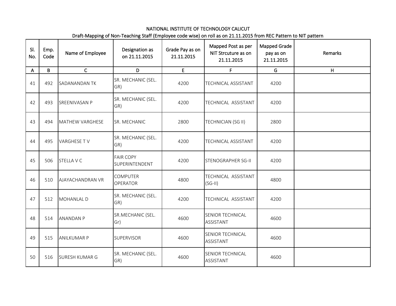| NATIONAL INSTITUTE OF TECHNOLOGY CALICUT                                                                          |
|-------------------------------------------------------------------------------------------------------------------|
| Draft-Mapping of Non-Teaching Staff (Employee code wise) on roll as on 21.11.2015 from REC Pattern to NIT pattern |

| SI.<br>No.                | Emp.<br>Code | Name of Employee       | Designation as<br>on 21.11.2015    | Grade Pay as on<br>21.11.2015 | Mapped Post as per<br>NIT Strcuture as on<br>21.11.2015 | <b>Mapped Grade</b><br>pay as on<br>21.11.2015 | Remarks |
|---------------------------|--------------|------------------------|------------------------------------|-------------------------------|---------------------------------------------------------|------------------------------------------------|---------|
| $\boldsymbol{\mathsf{A}}$ | B            | $\mathsf C$            | D                                  | E.                            | $\mathsf F$                                             | G                                              | H       |
| 41                        | 492          | SADANANDAN TK          | SR. MECHANIC (SEL.<br>GR)          | 4200                          | <b>TECHNICAL ASSISTANT</b>                              | 4200                                           |         |
| 42                        | 493          | SREENIVASAN P          | SR. MECHANIC (SEL.<br>GR)          | 4200                          | TECHNICAL ASSISTANT                                     | 4200                                           |         |
| 43                        | 494          | <b>MATHEW VARGHESE</b> | SR. MECHANIC                       | 2800                          | <b>TECHNICIAN (SG II)</b>                               | 2800                                           |         |
| 44                        | 495          | <b>VARGHESE TV</b>     | SR. MECHANIC (SEL.<br>GR)          | 4200                          | <b>TECHNICAL ASSISTANT</b>                              | 4200                                           |         |
| 45                        | 506          | <b>STELLA V C</b>      | <b>FAIR COPY</b><br>SUPERINTENDENT | 4200                          | STENOGRAPHER SG-II                                      | 4200                                           |         |
| 46                        | 510          | AJAYACHANDRAN VR       | <b>COMPUTER</b><br>OPERATOR        | 4800                          | <b>TECHNICAL ASSISTANT</b><br>$(SG-H)$                  | 4800                                           |         |
| 47                        | 512          | <b>MOHANLAL D</b>      | SR. MECHANIC (SEL.<br>GR)          | 4200                          | TECHNICAL ASSISTANT                                     | 4200                                           |         |
| 48                        | 514          | <b>ANANDAN P</b>       | SR.MECHANIC (SEL.<br>Gr)           | 4600                          | SENIOR TECHNICAL<br><b>ASSISTANT</b>                    | 4600                                           |         |
| 49                        | 515          | <b>ANILKUMAR P</b>     | <b>SUPERVISOR</b>                  | 4600                          | SENIOR TECHNICAL<br><b>ASSISTANT</b>                    | 4600                                           |         |
| 50                        | 516          | <b>SURESH KUMAR G</b>  | SR. MECHANIC (SEL.<br>GR)          | 4600                          | SENIOR TECHNICAL<br><b>ASSISTANT</b>                    | 4600                                           |         |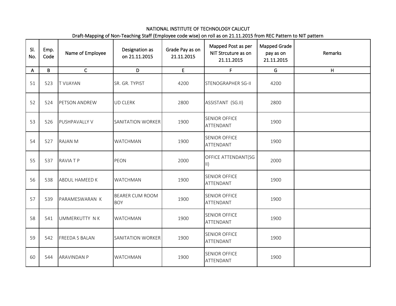| NATIONAL INSTITUTE OF TECHNOLOGY CALICUT                                                                          |
|-------------------------------------------------------------------------------------------------------------------|
| Draft-Mapping of Non-Teaching Staff (Employee code wise) on roll as on 21.11.2015 from REC Pattern to NIT pattern |

| SI.<br>No.     | Emp.<br>Code | Name of Employee      | Designation as<br>on 21.11.2015      | Grade Pay as on<br>21.11.2015              | Mapped Post as per<br>NIT Strcuture as on<br>21.11.2015 | Mapped Grade<br>pay as on<br>21.11.2015 | Remarks |
|----------------|--------------|-----------------------|--------------------------------------|--------------------------------------------|---------------------------------------------------------|-----------------------------------------|---------|
| $\overline{A}$ | B            | $\mathsf{C}$          | D                                    | $\mathsf{E}% _{0}\left( \mathsf{E}\right)$ | F                                                       | G                                       | H       |
| 51             | 523          | <b>T VIJAYAN</b>      | SR. GR. TYPIST                       | 4200                                       | STENOGRAPHER SG-II                                      | 4200                                    |         |
| 52             | 524          | PETSON ANDREW         | <b>UD CLERK</b>                      | 2800                                       | ASSISTANT (SG.II)                                       | 2800                                    |         |
| 53             | 526          | PUSHPAVALLY V         | SANITATION WORKER                    | 1900                                       | <b>SENIOR OFFICE</b><br>ATTENDANT                       | 1900                                    |         |
| 54             | 527          | <b>RAJAN M</b>        | <b>WATCHMAN</b>                      | 1900                                       | <b>SENIOR OFFICE</b><br>ATTENDANT                       | 1900                                    |         |
| 55             | 537          | RAVIA T P             | PEON                                 | 2000                                       | OFFICE ATTENDANT(SG<br>$\vert$ II)                      | 2000                                    |         |
| 56             | 538          | <b>ABDUL HAMEED K</b> | <b>WATCHMAN</b>                      | 1900                                       | <b>SENIOR OFFICE</b><br>ATTENDANT                       | 1900                                    |         |
| 57             | 539          | PARAMESWARAN K        | <b>BEARER CUM ROOM</b><br><b>BOY</b> | 1900                                       | <b>SENIOR OFFICE</b><br>ATTENDANT                       | 1900                                    |         |
| 58             | 541          | UMMERKUTTY N K        | <b>WATCHMAN</b>                      | 1900                                       | <b>SENIOR OFFICE</b><br>ATTENDANT                       | 1900                                    |         |
| 59             | 542          | <b>FREEDA S BALAN</b> | SANITATION WORKER                    | 1900                                       | SENIOR OFFICE<br>ATTENDANT                              | 1900                                    |         |
| 60             | 544          | <b>ARAVINDAN P</b>    | <b>WATCHMAN</b>                      | 1900                                       | <b>SENIOR OFFICE</b><br>ATTENDANT                       | 1900                                    |         |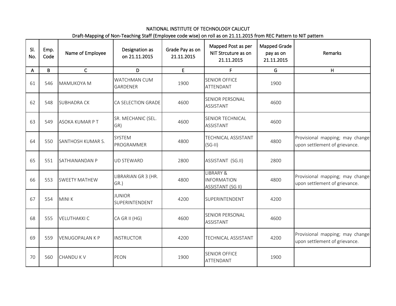| NATIONAL INSTITUTE OF TECHNOLOGY CALICUT                                                                          |
|-------------------------------------------------------------------------------------------------------------------|
| Draft-Mapping of Non-Teaching Staff (Employee code wise) on roll as on 21.11.2015 from REC Pattern to NIT pattern |

| SI.<br>No. | Emp.<br>Code | Name of Employee         | Designation as<br>on 21.11.2015 | Grade Pay as on<br>21.11.2015 | Mapped Post as per<br>NIT Strcuture as on<br>21.11.2015                | Mapped Grade<br>pay as on<br>21.11.2015 | Remarks                                                          |
|------------|--------------|--------------------------|---------------------------------|-------------------------------|------------------------------------------------------------------------|-----------------------------------------|------------------------------------------------------------------|
| A          | B            | $\mathsf{C}$             | D                               | E.                            | F                                                                      | G                                       | H                                                                |
| 61         | 546          | <b>MAMUKOYA M</b>        | WATCHMAN CUM<br>GARDENER        | 1900                          | <b>SENIOR OFFICE</b><br>ATTENDANT                                      | 1900                                    |                                                                  |
| 62         | 548          | <b>SUBHADRA CK</b>       | CA SELECTION GRADE              | 4600                          | SENIOR PERSONAL<br><b>ASSISTANT</b>                                    | 4600                                    |                                                                  |
| 63         | 549          | ASOKA KUMAR P T          | SR. MECHANIC (SEL.<br>GR)       | 4600                          | <b>SENIOR TECHNICAL</b><br><b>ASSISTANT</b>                            | 4600                                    |                                                                  |
| 64         | 550          | <b>SANTHOSH KUMAR S.</b> | SYSTEM<br>PROGRAMMER            | 4800                          | <b>TECHNICAL ASSISTANT</b><br>$(SG-II)$                                | 4800                                    | Provisional mapping; may change<br>upon settlement of grievance. |
| 65         | 551          | SATHIANANDAN P           | <b>UD STEWARD</b>               | 2800                          | ASSISTANT (SG.II)                                                      | 2800                                    |                                                                  |
| 66         | 553          | <b>SWEETY MATHEW</b>     | LIBRARIAN GR 3 (HR.<br>$GR.$ )  | 4800                          | <b>LIBRARY &amp;</b><br><b>INFORMATION</b><br><b>ASSISTANT (SG II)</b> | 4800                                    | Provisional mapping; may change<br>upon settlement of grievance. |
| 67         | 554          | <b>MINIK</b>             | <b>JUNIOR</b><br>SUPERINTENDENT | 4200                          | SUPERINTENDENT                                                         | 4200                                    |                                                                  |
| 68         | 555          | <b>VELUTHAKKI C</b>      | CA GR II (HG)                   | 4600                          | <b>SENIOR PERSONAL</b><br><b>ASSISTANT</b>                             | 4600                                    |                                                                  |
| 69         | 559          | <b>VENUGOPALAN K P</b>   | <b>INSTRUCTOR</b>               | 4200                          | <b>TECHNICAL ASSISTANT</b>                                             | 4200                                    | Provisional mapping; may change<br>upon settlement of grievance. |
| 70         | 560          | <b>CHANDU KV</b>         | <b>PEON</b>                     | 1900                          | <b>SENIOR OFFICE</b><br>ATTENDANT                                      | 1900                                    |                                                                  |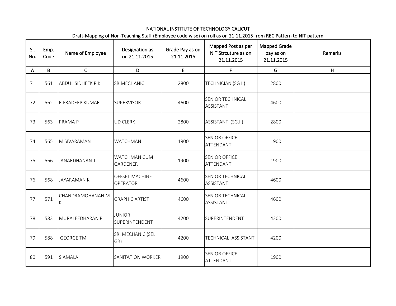| NATIONAL INSTITUTE OF TECHNOLOGY CALICUT                                                                          |
|-------------------------------------------------------------------------------------------------------------------|
| Draft-Mapping of Non-Teaching Staff (Employee code wise) on roll as on 21.11.2015 from REC Pattern to NIT pattern |

| SI.<br>No.              | Emp.<br>Code | Name of Employee         | Designation as<br>on 21.11.2015 | Grade Pay as on<br>21.11.2015 | Mapped Post as per<br>NIT Strcuture as on<br>21.11.2015 | Mapped Grade<br>pay as on<br>21.11.2015 | Remarks |
|-------------------------|--------------|--------------------------|---------------------------------|-------------------------------|---------------------------------------------------------|-----------------------------------------|---------|
| $\overline{\mathsf{A}}$ | B            | $\mathsf{C}$             | D                               | E                             | F                                                       | G                                       | H       |
| 71                      | 561          | <b>ABDUL SIDHEEK P K</b> | SR.MECHANIC                     | 2800                          | TECHNICIAN (SG II)                                      | 2800                                    |         |
| 72                      | 562          | E PRADEEP KUMAR          | <b>SUPERVISOR</b>               | 4600                          | <b>SENIOR TECHNICAL</b><br><b>ASSISTANT</b>             | 4600                                    |         |
| 73                      | 563          | PRAMA P                  | <b>UD CLERK</b>                 | 2800                          | ASSISTANT (SG.II)                                       | 2800                                    |         |
| 74                      | 565          | M SIVARAMAN              | <b>WATCHMAN</b>                 | 1900                          | <b>SENIOR OFFICE</b><br>ATTENDANT                       | 1900                                    |         |
| 75                      | 566          | <b>JANARDHANAN T</b>     | WATCHMAN CUM<br>GARDENER        | 1900                          | <b>SENIOR OFFICE</b><br>ATTENDANT                       | 1900                                    |         |
| 76                      | 568          | <b>JAYARAMAN K</b>       | OFFSET MACHINE<br>OPERATOR      | 4600                          | SENIOR TECHNICAL<br>ASSISTANT                           | 4600                                    |         |
| 77                      | 571          | CHANDRAMOHANAN M<br>К    | <b>GRAPHIC ARTIST</b>           | 4600                          | SENIOR TECHNICAL<br><b>ASSISTANT</b>                    | 4600                                    |         |
| 78                      | 583          | MURALEEDHARAN P          | <b>JUNIOR</b><br>SUPERINTENDENT | 4200                          | SUPERINTENDENT                                          | 4200                                    |         |
| 79                      | 588          | <b>GEORGE TM</b>         | SR. MECHANIC (SEL.<br>GR)       | 4200                          | TECHNICAL ASSISTANT                                     | 4200                                    |         |
| 80                      | 591          | SIAMALA I                | SANITATION WORKER               | 1900                          | <b>SENIOR OFFICE</b><br>ATTENDANT                       | 1900                                    |         |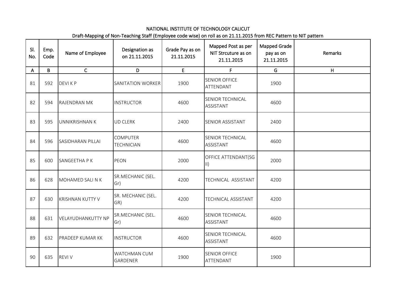| NATIONAL INSTITUTE OF TECHNOLOGY CALICUT                                                                          |
|-------------------------------------------------------------------------------------------------------------------|
| Draft-Mapping of Non-Teaching Staff (Employee code wise) on roll as on 21.11.2015 from REC Pattern to NIT pattern |

| SI.<br>No.     | Emp.<br>Code | Name of Employee          | Designation as<br>on 21.11.2015      | Grade Pay as on<br>21.11.2015 | Mapped Post as per<br>NIT Strcuture as on<br>21.11.2015 | Mapped Grade<br>pay as on<br>21.11.2015 | Remarks |
|----------------|--------------|---------------------------|--------------------------------------|-------------------------------|---------------------------------------------------------|-----------------------------------------|---------|
| $\overline{A}$ | B            | $\mathsf{C}$              | D                                    | E                             | F                                                       | G                                       | H       |
| 81             | 592          | <b>DEVIKP</b>             | SANITATION WORKER                    | 1900                          | <b>SENIOR OFFICE</b><br>ATTENDANT                       | 1900                                    |         |
| 82             | 594          | RAJENDRAN MK              | <b>INSTRUCTOR</b>                    | 4600                          | SENIOR TECHNICAL<br><b>ASSISTANT</b>                    | 4600                                    |         |
| 83             | 595          | UNNIKRISHNAN K            | <b>UD CLERK</b>                      | 2400                          | SENIOR ASSISTANT                                        | 2400                                    |         |
| 84             | 596          | <b>SASIDHARAN PILLAI</b>  | <b>COMPUTER</b><br><b>TECHNICIAN</b> | 4600                          | SENIOR TECHNICAL<br><b>ASSISTANT</b>                    | 4600                                    |         |
| 85             | 600          | SANGEETHA P K             | PEON                                 | 2000                          | OFFICE ATTENDANT(SG<br>$\vert$ II)                      | 2000                                    |         |
| 86             | 628          | MOHAMED SALI N K          | SR.MECHANIC (SEL.<br>Gr)             | 4200                          | TECHNICAL ASSISTANT                                     | 4200                                    |         |
| 87             | 630          | <b>KRISHNAN KUTTY V</b>   | SR. MECHANIC (SEL.<br>GR)            | 4200                          | <b>TECHNICAL ASSISTANT</b>                              | 4200                                    |         |
| 88             | 631          | <b>VELAYUDHANKUTTY NP</b> | SR.MECHANIC (SEL.<br>Gr)             | 4600                          | SENIOR TECHNICAL<br><b>ASSISTANT</b>                    | 4600                                    |         |
| 89             | 632          | PRADEEP KUMAR KK          | <b>INSTRUCTOR</b>                    | 4600                          | SENIOR TECHNICAL<br><b>ASSISTANT</b>                    | 4600                                    |         |
| 90             | 635          | <b>REVIV</b>              | WATCHMAN CUM<br>GARDENER             | 1900                          | <b>SENIOR OFFICE</b><br>ATTENDANT                       | 1900                                    |         |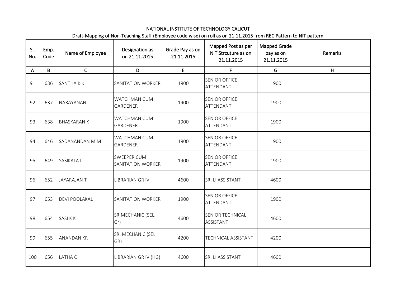| NATIONAL INSTITUTE OF TECHNOLOGY CALICUT                                                                          |
|-------------------------------------------------------------------------------------------------------------------|
| Draft-Mapping of Non-Teaching Staff (Employee code wise) on roll as on 21.11.2015 from REC Pattern to NIT pattern |

| SI.<br>No. | Emp.<br>Code | Name of Employee     | Designation as<br>on 21.11.2015  | Grade Pay as on<br>21.11.2015 | Mapped Post as per<br>NIT Strcuture as on<br>21.11.2015 | <b>Mapped Grade</b><br>pay as on<br>21.11.2015 | Remarks |
|------------|--------------|----------------------|----------------------------------|-------------------------------|---------------------------------------------------------|------------------------------------------------|---------|
| A          | B            | $\mathsf C$          | D                                | E                             | $\mathsf F$                                             | G                                              | H       |
| 91         | 636          | SANTHA K K           | SANITATION WORKER                | 1900                          | <b>SENIOR OFFICE</b><br>ATTENDANT                       | 1900                                           |         |
| 92         | 637          | NARAYANAN T          | WATCHMAN CUM<br>GARDENER         | 1900                          | <b>SENIOR OFFICE</b><br>ATTENDANT                       | 1900                                           |         |
| 93         | 638          | <b>BHASKARAN K</b>   | WATCHMAN CUM<br><b>GARDENER</b>  | 1900                          | <b>SENIOR OFFICE</b><br>ATTENDANT                       | 1900                                           |         |
| 94         | 646          | SADANANDAN M M       | WATCHMAN CUM<br>GARDENER         | 1900                          | <b>SENIOR OFFICE</b><br>ATTENDANT                       | 1900                                           |         |
| 95         | 649          | <b>SASIKALA L</b>    | SWEEPER CUM<br>SANITATION WORKER | 1900                          | <b>SENIOR OFFICE</b><br>ATTENDANT                       | 1900                                           |         |
| 96         | 652          | <b>JAYARAJAN T</b>   | <b>LIBRARIAN GR IV</b>           | 4600                          | SR. LI ASSISTANT                                        | 4600                                           |         |
| 97         | 653          | <b>DEVI POOLAKAL</b> | SANITATION WORKER                | 1900                          | <b>SENIOR OFFICE</b><br>ATTENDANT                       | 1900                                           |         |
| 98         | 654          | <b>SASIKK</b>        | SR.MECHANIC (SEL.<br>Gr)         | 4600                          | SENIOR TECHNICAL<br><b>ASSISTANT</b>                    | 4600                                           |         |
| 99         | 655          | <b>ANANDAN KR</b>    | SR. MECHANIC (SEL.<br>GR)        | 4200                          | <b>TECHNICAL ASSISTANT</b>                              | 4200                                           |         |
| 100        | 656          | <b>LATHA C</b>       | LIBRARIAN GR IV (HG)             | 4600                          | SR. LI ASSISTANT                                        | 4600                                           |         |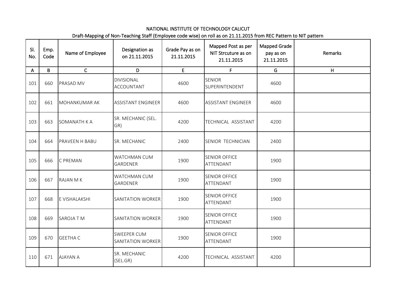| NATIONAL INSTITUTE OF TECHNOLOGY CALICUT                                                                          |
|-------------------------------------------------------------------------------------------------------------------|
| Draft-Mapping of Non-Teaching Staff (Employee code wise) on roll as on 21.11.2015 from REC Pattern to NIT pattern |

| SI.<br>No.     | Emp.<br>Code | Name of Employee | Designation as<br>on 21.11.2015         | Grade Pay as on<br>21.11.2015 | Mapped Post as per<br>NIT Strcuture as on<br>21.11.2015 | Mapped Grade<br>pay as on<br>21.11.2015 | Remarks |
|----------------|--------------|------------------|-----------------------------------------|-------------------------------|---------------------------------------------------------|-----------------------------------------|---------|
| $\overline{A}$ | B            | $\mathsf C$      | D                                       | E                             | F                                                       | G                                       | H       |
| 101            | 660          | PRASAD MV        | <b>DIVISIONAL</b><br>ACCOUNTANT         | 4600                          | <b>SENIOR</b><br>SUPERINTENDENT                         | 4600                                    |         |
| 102            | 661          | MOHANKUMAR AK    | <b>ASSISTANT ENGINEER</b>               | 4600                          | <b>ASSISTANT ENGINEER</b>                               | 4600                                    |         |
| 103            | 663          | SOMANATH K A     | SR. MECHANIC (SEL.<br>GR)               | 4200                          | TECHNICAL ASSISTANT                                     | 4200                                    |         |
| 104            | 664          | PRAVEEN H BABU   | SR. MECHANIC                            | 2400                          | SENIOR TECHNICIAN                                       | 2400                                    |         |
| 105            | 666          | C PREMAN         | WATCHMAN CUM<br>GARDENER                | 1900                          | <b>SENIOR OFFICE</b><br>ATTENDANT                       | 1900                                    |         |
| 106            | 667          | <b>RAJAN MK</b>  | WATCHMAN CUM<br>GARDENER                | 1900                          | <b>SENIOR OFFICE</b><br>ATTENDANT                       | 1900                                    |         |
| 107            | 668          | E VISHALAKSHI    | <b>SANITATION WORKER</b>                | 1900                          | <b>SENIOR OFFICE</b><br>ATTENDANT                       | 1900                                    |         |
| 108            | 669          | <b>SAROJA TM</b> | SANITATION WORKER                       | 1900                          | <b>SENIOR OFFICE</b><br>ATTENDANT                       | 1900                                    |         |
| 109            | 670          | <b>GEETHA C</b>  | <b>SWEEPER CUM</b><br>SANITATION WORKER | 1900                          | SENIOR OFFICE<br>ATTENDANT                              | 1900                                    |         |
| 110            | 671          | <b>AJAYAN A</b>  | SR. MECHANIC<br>(SEL.GR)                | 4200                          | TECHNICAL ASSISTANT                                     | 4200                                    |         |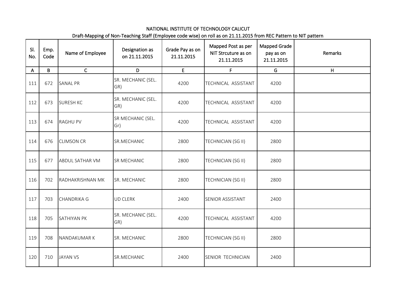| NATIONAL INSTITUTE OF TECHNOLOGY CALICUT                                                                          |
|-------------------------------------------------------------------------------------------------------------------|
| Draft-Mapping of Non-Teaching Staff (Employee code wise) on roll as on 21.11.2015 from REC Pattern to NIT pattern |

| SI.<br>No.   | Emp.<br>Code | Name of Employee   | Designation as<br>on 21.11.2015 | Grade Pay as on<br>21.11.2015 | Mapped Post as per<br>NIT Strcuture as on<br>21.11.2015 | <b>Mapped Grade</b><br>pay as on<br>21.11.2015 | <b>Remarks</b> |
|--------------|--------------|--------------------|---------------------------------|-------------------------------|---------------------------------------------------------|------------------------------------------------|----------------|
| $\mathsf{A}$ | B            | $\mathsf{C}$       | D                               | $\mathsf E$                   | F                                                       | G                                              | H              |
| 111          | 672          | <b>SANAL PR</b>    | SR. MECHANIC (SEL.<br>GR)       | 4200                          | TECHNICAL ASSISTANT                                     | 4200                                           |                |
| 112          | 673          | <b>SURESH KC</b>   | SR. MECHANIC (SEL.<br>GR)       | 4200                          | TECHNICAL ASSISTANT                                     | 4200                                           |                |
| 113          | 674          | <b>RAGHU PV</b>    | SR MECHANIC (SEL.<br>Gr)        | 4200                          | TECHNICAL ASSISTANT                                     | 4200                                           |                |
| 114          | 676          | <b>CLIMSON CR</b>  | SR.MECHANIC                     | 2800                          | <b>TECHNICIAN (SG II)</b>                               | 2800                                           |                |
| 115          | 677          | ABDUL SATHAR VM    | SR MECHANIC                     | 2800                          | <b>TECHNICIAN (SG II)</b>                               | 2800                                           |                |
| 116          | 702          | RADHAKRISHNAN MK   | SR. MECHANIC                    | 2800                          | <b>TECHNICIAN (SG II)</b>                               | 2800                                           |                |
| 117          | 703          | <b>CHANDRIKA G</b> | <b>UD CLERK</b>                 | 2400                          | <b>SENIOR ASSISTANT</b>                                 | 2400                                           |                |
| 118          | 705          | <b>SATHIYAN PK</b> | SR. MECHANIC (SEL.<br>GR)       | 4200                          | TECHNICAL ASSISTANT                                     | 4200                                           |                |
| 119          | 708          | NANDAKUMAR K       | SR. MECHANIC                    | 2800                          | <b>TECHNICIAN (SG II)</b>                               | 2800                                           |                |
| 120          | 710          | <b>JAYAN VS</b>    | SR.MECHANIC                     | 2400                          | SENIOR TECHNICIAN                                       | 2400                                           |                |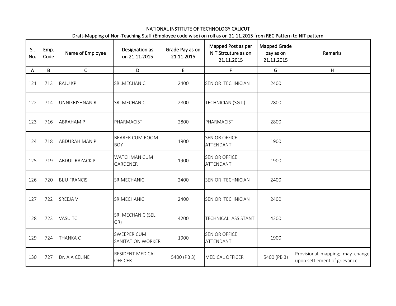| NATIONAL INSTITUTE OF TECHNOLOGY CALICUT                                                                          |
|-------------------------------------------------------------------------------------------------------------------|
| Draft-Mapping of Non-Teaching Staff (Employee code wise) on roll as on 21.11.2015 from REC Pattern to NIT pattern |

| SI.<br>No. | Emp.<br>Code | Name of Employee      | Designation as<br>on 21.11.2015         | Grade Pay as on<br>21.11.2015 | Mapped Post as per<br>NIT Strcuture as on<br>21.11.2015 | <b>Mapped Grade</b><br>pay as on<br>21.11.2015 | Remarks                                                          |
|------------|--------------|-----------------------|-----------------------------------------|-------------------------------|---------------------------------------------------------|------------------------------------------------|------------------------------------------------------------------|
| A          | B            | $\mathsf C$           | D                                       | E                             | $\mathsf F$                                             | G                                              | H                                                                |
| 121        | 713          | <b>RAJU KP</b>        | SR.MECHANIC                             | 2400                          | SENIOR TECHNICIAN                                       | 2400                                           |                                                                  |
| 122        | 714          | UNNIKRISHNAN R        | SR. MECHANIC                            | 2800                          | <b>TECHNICIAN (SG II)</b>                               | 2800                                           |                                                                  |
| 123        | 716          | <b>ABRAHAM P</b>      | PHARMACIST                              | 2800                          | PHARMACIST                                              | 2800                                           |                                                                  |
| 124        | 718          | <b>ABDURAHIMAN P</b>  | <b>BEARER CUM ROOM</b><br><b>BOY</b>    | 1900                          | <b>SENIOR OFFICE</b><br>ATTENDANT                       | 1900                                           |                                                                  |
| 125        | 719          | <b>ABDUL RAZACK P</b> | WATCHMAN CUM<br>GARDENER                | 1900                          | <b>SENIOR OFFICE</b><br>ATTENDANT                       | 1900                                           |                                                                  |
| 126        | 720          | <b>BIJU FRANCIS</b>   | SR.MECHANIC                             | 2400                          | SENIOR TECHNICIAN                                       | 2400                                           |                                                                  |
| 127        | 722          | <b>SREEJA V</b>       | SR.MECHANIC                             | 2400                          | SENIOR TECHNICIAN                                       | 2400                                           |                                                                  |
| 128        | 723          | <b>VASU TC</b>        | SR. MECHANIC (SEL.<br>GR)               | 4200                          | <b>TECHNICAL ASSISTANT</b>                              | 4200                                           |                                                                  |
| 129        | 724          | THANKA C              | <b>SWEEPER CUM</b><br>SANITATION WORKER | 1900                          | <b>SENIOR OFFICE</b><br>ATTENDANT                       | 1900                                           |                                                                  |
| 130        | 727          | Dr. A A CELINE        | RESIDENT MEDICAL<br><b>OFFICER</b>      | 5400 (PB 3)                   | <b>MEDICAL OFFICER</b>                                  | 5400 (PB 3)                                    | Provisional mapping; may change<br>upon settlement of grievance. |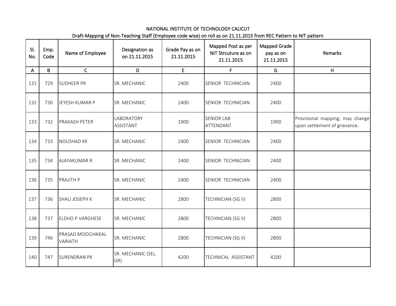| NATIONAL INSTITUTE OF TECHNOLOGY CALICUT                                                                          |
|-------------------------------------------------------------------------------------------------------------------|
| Draft-Mapping of Non-Teaching Staff (Employee code wise) on roll as on 21.11.2015 from REC Pattern to NIT pattern |

| SI.<br>No. | Emp.<br>Code | Name of Employee             | Designation as<br>on 21.11.2015 | Grade Pay as on<br>21.11.2015 | Mapped Post as per<br>NIT Strcuture as on<br>21.11.2015 | Mapped Grade<br>pay as on<br>21.11.2015 | Remarks                                                          |
|------------|--------------|------------------------------|---------------------------------|-------------------------------|---------------------------------------------------------|-----------------------------------------|------------------------------------------------------------------|
| A          | B            | $\mathsf C$                  | D                               | E                             | $\mathsf F$                                             | G                                       | H                                                                |
| 131        | 729          | <b>SUDHEER PR</b>            | SR. MECHANIC                    | 2400                          | SENIOR TECHNICIAN                                       | 2400                                    |                                                                  |
| 132        | 730          | JEYESH KUMAR P               | SR. MECHANIC                    | 2400                          | SENIOR TECHNICIAN                                       | 2400                                    |                                                                  |
| 133        | 732          | PRAKASH PETER                | LABORATORY<br>ASSISTANT         | 1900                          | <b>SENIOR LAB</b><br>ATTENDANT                          | 1900                                    | Provisional mapping; may change<br>upon settlement of grievance. |
| 134        | 733          | <b>NOUSHAD KK</b>            | SR. MECHANIC                    | 2400                          | SENIOR TECHNICIAN                                       | 2400                                    |                                                                  |
| 135        | 734          | <b>AJAYAKUMAR R</b>          | SR. MECHANIC                    | 2400                          | SENIOR TECHNICIAN                                       | 2400                                    |                                                                  |
| 136        | 735          | PRAJITH P                    | SR. MECHANIC                    | 2400                          | SENIOR TECHNICIAN                                       | 2400                                    |                                                                  |
| 137        | 736          | <b>SHALI JOSEPH K</b>        | SR. MECHANIC                    | 2800                          | <b>TECHNICIAN (SG II)</b>                               | 2800                                    |                                                                  |
| 138        | 737          | <b>ELDHO P VARGHESE</b>      | SR. MECHANIC                    | 2800                          | <b>TECHNICIAN (SG II)</b>                               | 2800                                    |                                                                  |
| 139        | 746          | PRASAD MOOCHIKKAL<br>VARIATH | SR. MECHANIC                    | 2800                          | <b>TECHNICIAN (SG II)</b>                               | 2800                                    |                                                                  |
| 140        | 747          | <b>SURENDRAN PK</b>          | SR. MECHANIC (SEL.<br>GR)       | 4200                          | TECHNICAL ASSISTANT                                     | 4200                                    |                                                                  |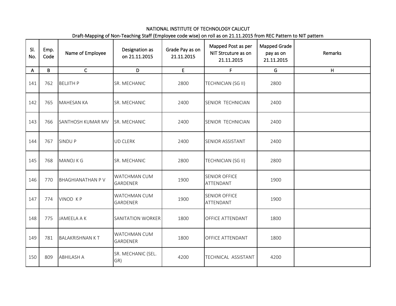| NATIONAL INSTITUTE OF TECHNOLOGY CALICUT                                                                          |
|-------------------------------------------------------------------------------------------------------------------|
| Draft-Mapping of Non-Teaching Staff (Employee code wise) on roll as on 21.11.2015 from REC Pattern to NIT pattern |

| SI.<br>No. | Emp.<br>Code | Name of Employee         | Designation as<br>on 21.11.2015 | Grade Pay as on<br>21.11.2015 | Mapped Post as per<br>NIT Strcuture as on<br>21.11.2015 | <b>Mapped Grade</b><br>pay as on<br>21.11.2015 | <b>Remarks</b> |
|------------|--------------|--------------------------|---------------------------------|-------------------------------|---------------------------------------------------------|------------------------------------------------|----------------|
| A          | B            | $\mathsf{C}$             | D                               | $\mathsf E$                   | F                                                       | G                                              | H              |
| 141        | 762          | <b>BELJITH P</b>         | SR. MECHANIC                    | 2800                          | TECHNICIAN (SG II)                                      | 2800                                           |                |
| 142        | 765          | <b>MAHESAN KA</b>        | SR. MECHANIC                    | 2400                          | SENIOR TECHNICIAN                                       | 2400                                           |                |
| 143        | 766          | SANTHOSH KUMAR MV        | SR. MECHANIC                    | 2400                          | SENIOR TECHNICIAN                                       | 2400                                           |                |
| 144        | 767          | <b>SINDUP</b>            | <b>UD CLERK</b>                 | 2400                          | <b>SENIOR ASSISTANT</b>                                 | 2400                                           |                |
| 145        | 768          | <b>MANOJ K G</b>         | SR. MECHANIC                    | 2800                          | <b>TECHNICIAN (SG II)</b>                               | 2800                                           |                |
| 146        | 770          | <b>BHAGHIANATHAN P V</b> | WATCHMAN CUM<br>GARDENER        | 1900                          | <b>SENIOR OFFICE</b><br>ATTENDANT                       | 1900                                           |                |
| 147        | 774          | VINOD KP                 | WATCHMAN CUM<br>GARDENER        | 1900                          | <b>SENIOR OFFICE</b><br>ATTENDANT                       | 1900                                           |                |
| 148        | 775          | <b>JAMEELA A K</b>       | SANITATION WORKER               | 1800                          | OFFICE ATTENDANT                                        | 1800                                           |                |
| 149        | 781          | <b>BALAKRISHNAN KT</b>   | WATCHMAN CUM<br>GARDENER        | 1800                          | OFFICE ATTENDANT                                        | 1800                                           |                |
| 150        | 809          | <b>ABHILASH A</b>        | SR. MECHANIC (SEL.<br>GR)       | 4200                          | TECHNICAL ASSISTANT                                     | 4200                                           |                |